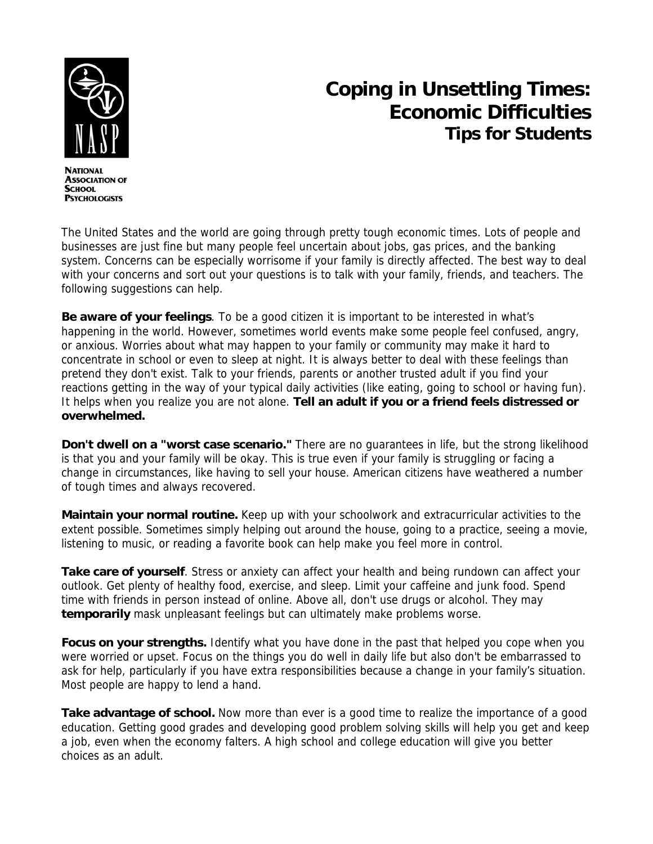

## **Coping in Unsettling Times: Economic Difficulties Tips for Students**

**NATIONAL ASSOCIATION OF SCHOOL PSYCHOLOGISTS** 

The United States and the world are going through pretty tough economic times. Lots of people and businesses are just fine but many people feel uncertain about jobs, gas prices, and the banking system. Concerns can be especially worrisome if your family is directly affected. The best way to deal with your concerns and sort out your questions is to talk with your family, friends, and teachers. The following suggestions can help.

**Be aware of your feelings**. To be a good citizen it is important to be interested in what's happening in the world. However, sometimes world events make some people feel confused, angry, or anxious. Worries about what may happen to your family or community may make it hard to concentrate in school or even to sleep at night. It is always better to deal with these feelings than pretend they don't exist. Talk to your friends, parents or another trusted adult if you find your reactions getting in the way of your typical daily activities (like eating, going to school or having fun). It helps when you realize you are not alone. **Tell an adult if you or a friend feels distressed or overwhelmed.** 

**Don't dwell on a "worst case scenario."** There are no guarantees in life, but the strong likelihood is that you and your family will be okay. This is true even if your family is struggling or facing a change in circumstances, like having to sell your house. American citizens have weathered a number of tough times and always recovered.

**Maintain your normal routine.** Keep up with your schoolwork and extracurricular activities to the extent possible. Sometimes simply helping out around the house, going to a practice, seeing a movie, listening to music, or reading a favorite book can help make you feel more in control.

**Take care of yourself**. Stress or anxiety can affect your health and being rundown can affect your outlook. Get plenty of healthy food, exercise, and sleep. Limit your caffeine and junk food. Spend time with friends in person instead of online. Above all, don't use drugs or alcohol. They may **temporarily** mask unpleasant feelings but can ultimately make problems worse.

**Focus on your strengths.** Identify what you have done in the past that helped you cope when you were worried or upset. Focus on the things you do well in daily life but also don't be embarrassed to ask for help, particularly if you have extra responsibilities because a change in your family's situation. Most people are happy to lend a hand.

**Take advantage of school.** Now more than ever is a good time to realize the importance of a good education. Getting good grades and developing good problem solving skills will help you get and keep a job, even when the economy falters. A high school and college education will give you better choices as an adult.